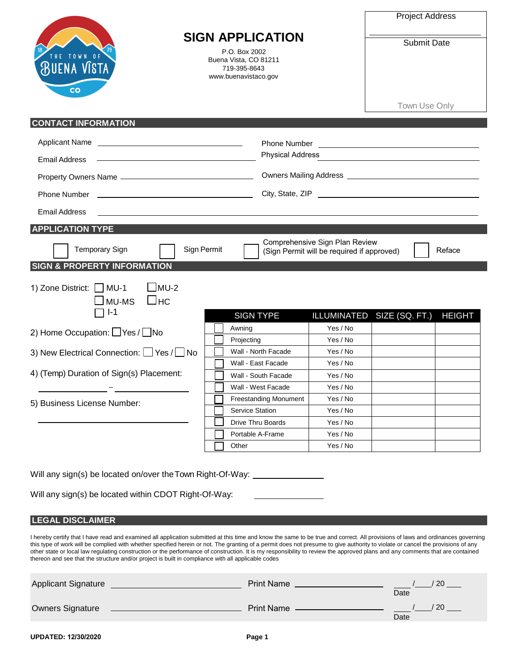|                                                                                                                                                                                                                                                                                                                                                                                                                                                                                                                                                                                                                                                           | <b>SIGN APPLICATION</b>                                                                                                                           |                                                                              |                                             |  |  |
|-----------------------------------------------------------------------------------------------------------------------------------------------------------------------------------------------------------------------------------------------------------------------------------------------------------------------------------------------------------------------------------------------------------------------------------------------------------------------------------------------------------------------------------------------------------------------------------------------------------------------------------------------------------|---------------------------------------------------------------------------------------------------------------------------------------------------|------------------------------------------------------------------------------|---------------------------------------------|--|--|
| THE TOWN OF<br><b>BUENA VISTA</b><br>co                                                                                                                                                                                                                                                                                                                                                                                                                                                                                                                                                                                                                   | P.O. Box 2002<br>Buena Vista, CO 81211<br>719-395-8643<br>www.buenavistaco.gov                                                                    |                                                                              | Town Use Only                               |  |  |
| <b>CONTACT INFORMATION</b>                                                                                                                                                                                                                                                                                                                                                                                                                                                                                                                                                                                                                                |                                                                                                                                                   |                                                                              |                                             |  |  |
| <b>Applicant Name</b><br><u> 1989 - Johann Barbara, martin amerikan basar da</u>                                                                                                                                                                                                                                                                                                                                                                                                                                                                                                                                                                          |                                                                                                                                                   |                                                                              |                                             |  |  |
| <b>Email Address</b>                                                                                                                                                                                                                                                                                                                                                                                                                                                                                                                                                                                                                                      | <b>Physical Address</b><br><u> 1989 - Johann Stoff, deutscher Stoffen und der Stoffen und der Stoffen und der Stoffen und der Stoffen und der</u> |                                                                              |                                             |  |  |
|                                                                                                                                                                                                                                                                                                                                                                                                                                                                                                                                                                                                                                                           |                                                                                                                                                   |                                                                              |                                             |  |  |
| Phone Number                                                                                                                                                                                                                                                                                                                                                                                                                                                                                                                                                                                                                                              |                                                                                                                                                   |                                                                              | City, State, ZIP                            |  |  |
| <b>Email Address</b>                                                                                                                                                                                                                                                                                                                                                                                                                                                                                                                                                                                                                                      |                                                                                                                                                   |                                                                              |                                             |  |  |
| <b>APPLICATION TYPE</b>                                                                                                                                                                                                                                                                                                                                                                                                                                                                                                                                                                                                                                   |                                                                                                                                                   |                                                                              |                                             |  |  |
| <b>Temporary Sign</b><br>Sign Permit                                                                                                                                                                                                                                                                                                                                                                                                                                                                                                                                                                                                                      |                                                                                                                                                   | Comprehensive Sign Plan Review<br>(Sign Permit will be required if approved) | Reface                                      |  |  |
| <b>SIGN &amp; PROPERTY INFORMATION</b>                                                                                                                                                                                                                                                                                                                                                                                                                                                                                                                                                                                                                    |                                                                                                                                                   |                                                                              |                                             |  |  |
| $IMU-2$<br>1) Zone District: MU-1<br>$\square$ нс<br>MU-MS<br>$I-1$                                                                                                                                                                                                                                                                                                                                                                                                                                                                                                                                                                                       | <b>SIGN TYPE</b>                                                                                                                                  |                                                                              | ILLUMINATED SIZE (SQ. FT.)<br><b>HEIGHT</b> |  |  |
| 2) Home Occupation: □ Yes / □ No                                                                                                                                                                                                                                                                                                                                                                                                                                                                                                                                                                                                                          | Awning                                                                                                                                            | Yes / No                                                                     |                                             |  |  |
|                                                                                                                                                                                                                                                                                                                                                                                                                                                                                                                                                                                                                                                           | Projecting<br>Wall - North Facade                                                                                                                 | Yes / No<br>Yes / No                                                         |                                             |  |  |
| 3) New Electrical Connection: U Yes / No                                                                                                                                                                                                                                                                                                                                                                                                                                                                                                                                                                                                                  | Wall - East Facade                                                                                                                                | Yes / No                                                                     |                                             |  |  |
| 4) (Temp) Duration of Sign(s) Placement:                                                                                                                                                                                                                                                                                                                                                                                                                                                                                                                                                                                                                  | Wall - South Facade                                                                                                                               | Yes / No                                                                     |                                             |  |  |
|                                                                                                                                                                                                                                                                                                                                                                                                                                                                                                                                                                                                                                                           | Wall - West Facade                                                                                                                                | Yes / No                                                                     |                                             |  |  |
| 5) Business License Number:                                                                                                                                                                                                                                                                                                                                                                                                                                                                                                                                                                                                                               | <b>Freestanding Monument</b><br><b>Service Station</b>                                                                                            | Yes / No<br>Yes / No                                                         |                                             |  |  |
|                                                                                                                                                                                                                                                                                                                                                                                                                                                                                                                                                                                                                                                           | Drive Thru Boards                                                                                                                                 | Yes / No                                                                     |                                             |  |  |
|                                                                                                                                                                                                                                                                                                                                                                                                                                                                                                                                                                                                                                                           | Portable A-Frame                                                                                                                                  | Yes / No                                                                     |                                             |  |  |
|                                                                                                                                                                                                                                                                                                                                                                                                                                                                                                                                                                                                                                                           | Other                                                                                                                                             | Yes / No                                                                     |                                             |  |  |
| Will any sign(s) be located on/over the Town Right-Of-Way: _______                                                                                                                                                                                                                                                                                                                                                                                                                                                                                                                                                                                        |                                                                                                                                                   |                                                                              |                                             |  |  |
| Will any sign(s) be located within CDOT Right-Of-Way:                                                                                                                                                                                                                                                                                                                                                                                                                                                                                                                                                                                                     |                                                                                                                                                   |                                                                              |                                             |  |  |
| <b>LEGAL DISCLAIMER</b>                                                                                                                                                                                                                                                                                                                                                                                                                                                                                                                                                                                                                                   |                                                                                                                                                   |                                                                              |                                             |  |  |
| I hereby certify that I have read and examined all application submitted at this time and know the same to be true and correct. All provisions of laws and ordinances governing<br>this type of work will be complied with whether specified herein or not. The granting of a permit does not presume to give authority to violate or cancel the provisions of any<br>other state or local law regulating construction or the performance of construction. It is my responsibility to review the approved plans and any comments that are contained<br>thereon and see that the structure and/or project is built in compliance with all applicable codes |                                                                                                                                                   |                                                                              |                                             |  |  |

| <b>Applicant Signature</b> | <b>Print Name</b> | 20<br>Date            |
|----------------------------|-------------------|-----------------------|
| <b>Owners Signature</b>    | <b>Print Name</b> | <sup>20</sup><br>Date |